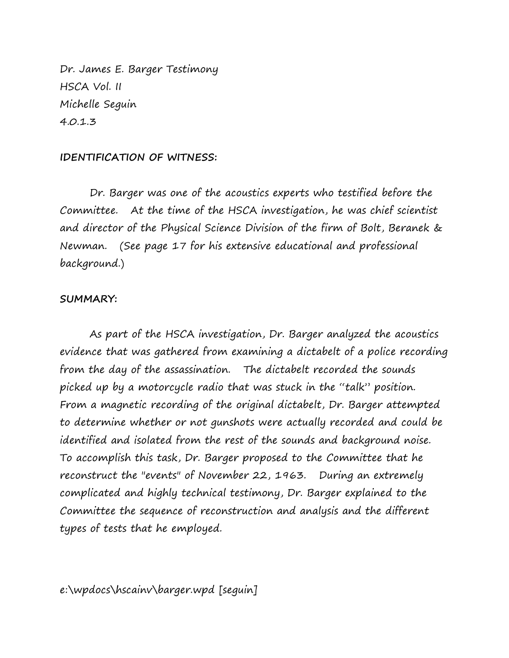Dr. James E. Barger Testimony HSCA Vol. II Michelle Seguin 4.0.1.3

## **IDENTIFICATION OF WITNESS:**

Dr. Barger was one of the acoustics experts who testified before the Committee. At the time of the HSCA investigation, he was chief scientist and director of the Physical Science Division of the firm of Bolt, Beranek & Newman. (See page 17 for his extensive educational and professional background.)

## **SUMMARY:**

As part of the HSCA investigation, Dr. Barger analyzed the acoustics evidence that was gathered from examining a dictabelt of a police recording from the day of the assassination. The dictabelt recorded the sounds picked up by a motorcycle radio that was stuck in the "talk" position. From a magnetic recording of the original dictabelt, Dr. Barger attempted to determine whether or not gunshots were actually recorded and could be identified and isolated from the rest of the sounds and background noise. To accomplish this task, Dr. Barger proposed to the Committee that he reconstruct the "events" of November 22, 1963. During an extremely complicated and highly technical testimony, Dr. Barger explained to the Committee the sequence of reconstruction and analysis and the different types of tests that he employed.

e:\wpdocs\hscainv\barger.wpd [seguin]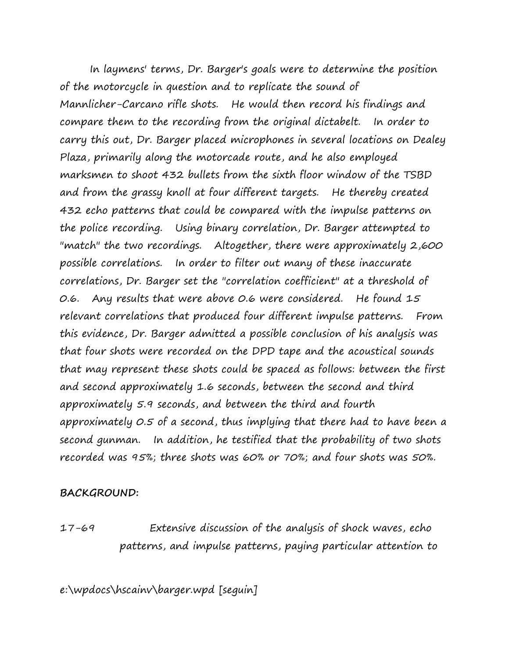In laymens' terms, Dr. Barger's goals were to determine the position of the motorcycle in question and to replicate the sound of Mannlicher-Carcano rifle shots. He would then record his findings and compare them to the recording from the original dictabelt. In order to carry this out, Dr. Barger placed microphones in several locations on Dealey Plaza, primarily along the motorcade route, and he also employed marksmen to shoot 432 bullets from the sixth floor window of the TSBD and from the grassy knoll at four different targets. He thereby created 432 echo patterns that could be compared with the impulse patterns on the police recording. Using binary correlation, Dr. Barger attempted to "match" the two recordings. Altogether, there were approximately 2,600 possible correlations. In order to filter out many of these inaccurate correlations, Dr. Barger set the "correlation coefficient" at a threshold of 0.6. Any results that were above 0.6 were considered. He found 15 relevant correlations that produced four different impulse patterns. From this evidence, Dr. Barger admitted a possible conclusion of his analysis was that four shots were recorded on the DPD tape and the acoustical sounds that may represent these shots could be spaced as follows: between the first and second approximately 1.6 seconds, between the second and third approximately 5.9 seconds, and between the third and fourth approximately 0.5 of a second, thus implying that there had to have been a second gunman. In addition, he testified that the probability of two shots recorded was 95%; three shots was 60% or 70%; and four shots was 50%.

## **BACKGROUND:**

17-69 Extensive discussion of the analysis of shock waves, echo patterns, and impulse patterns, paying particular attention to

e:\wpdocs\hscainv\barger.wpd [seguin]